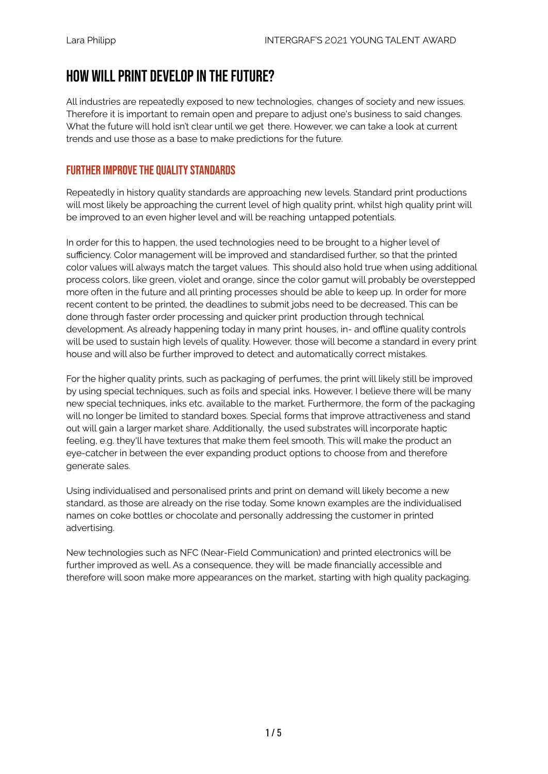# HOW WILL PRINT DEVELOP IN THE FUTURE?

All industries are repeatedly exposed to new technologies, changes of society and new issues. Therefore it is important to remain open and prepare to adjust one's business to said changes. What the future will hold isn't clear until we get there. However, we can take a look at current trends and use those as a base to make predictions for the future.

### FURTHER IMPROVE THE QUALITY STANDARDS

Repeatedly in history quality standards are approaching new levels. Standard print productions will most likely be approaching the current level of high quality print, whilst high quality print will be improved to an even higher level and will be reaching untapped potentials.

In order for this to happen, the used technologies need to be brought to a higher level of sufficiency. Color management will be improved and standardised further, so that the printed color values will always match the target values. This should also hold true when using additional process colors, like green, violet and orange, since the color gamut will probably be overstepped more often in the future and all printing processes should be able to keep up. In order for more recent content to be printed, the deadlines to submit jobs need to be decreased. This can be done through faster order processing and quicker print production through technical development. As already happening today in many print houses, in- and offline quality controls will be used to sustain high levels of quality. However, those will become a standard in every print house and will also be further improved to detect and automatically correct mistakes.

For the higher quality prints, such as packaging of perfumes, the print will likely still be improved by using special techniques, such as foils and special inks. However, I believe there will be many new special techniques, inks etc. available to the market. Furthermore, the form of the packaging will no longer be limited to standard boxes. Special forms that improve attractiveness and stand out will gain a larger market share. Additionally, the used substrates will incorporate haptic feeling, e.g. they'll have textures that make them feel smooth. This will make the product an eye-catcher in between the ever expanding product options to choose from and therefore generate sales.

Using individualised and personalised prints and print on demand will likely become a new standard, as those are already on the rise today. Some known examples are the individualised names on coke bottles or chocolate and personally addressing the customer in printed advertising.

New technologies such as NFC (Near-Field Communication) and printed electronics will be further improved as well. As a consequence, they will be made financially accessible and therefore will soon make more appearances on the market, starting with high quality packaging.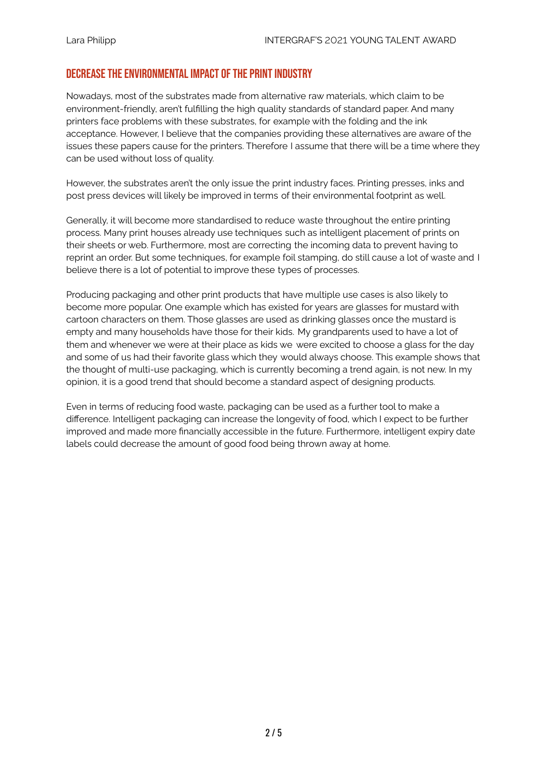#### DECREASE THE ENVIRONMENTAL IMPACT OF THE PRINT INDUSTRY

Nowadays, most of the substrates made from alternative raw materials, which claim to be environment-friendly, aren't fulfilling the high quality standards of standard paper. And many printers face problems with these substrates, for example with the folding and the ink acceptance. However, I believe that the companies providing these alternatives are aware of the issues these papers cause for the printers. Therefore I assume that there will be a time where they can be used without loss of quality.

However, the substrates aren't the only issue the print industry faces. Printing presses, inks and post press devices will likely be improved in terms of their environmental footprint as well.

Generally, it will become more standardised to reduce waste throughout the entire printing process. Many print houses already use techniques such as intelligent placement of prints on their sheets or web. Furthermore, most are correcting the incoming data to prevent having to reprint an order. But some techniques, for example foil stamping, do still cause a lot of waste and I believe there is a lot of potential to improve these types of processes.

Producing packaging and other print products that have multiple use cases is also likely to become more popular. One example which has existed for years are glasses for mustard with cartoon characters on them. Those glasses are used as drinking glasses once the mustard is empty and many households have those for their kids. My grandparents used to have a lot of them and whenever we were at their place as kids we were excited to choose a glass for the day and some of us had their favorite glass which they would always choose. This example shows that the thought of multi-use packaging, which is currently becoming a trend again, is not new. In my opinion, it is a good trend that should become a standard aspect of designing products.

Even in terms of reducing food waste, packaging can be used as a further tool to make a difference. Intelligent packaging can increase the longevity of food, which I expect to be further improved and made more financially accessible in the future. Furthermore, intelligent expiry date labels could decrease the amount of good food being thrown away at home.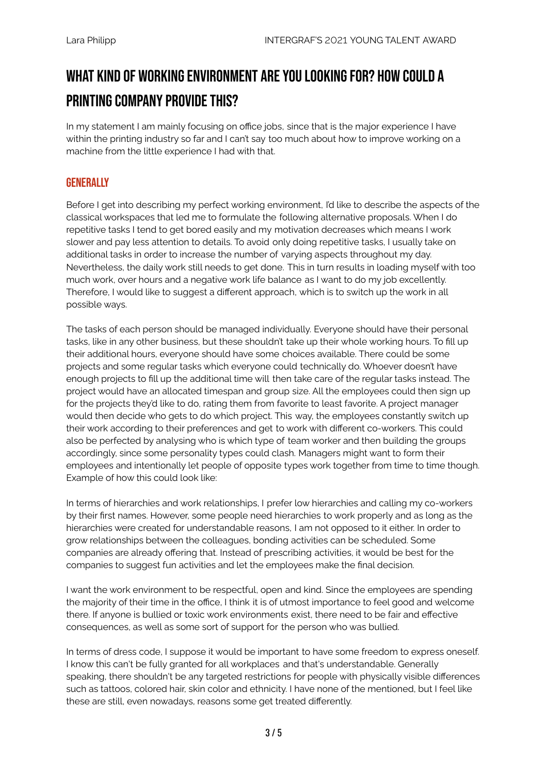# WHAT KIND OF WORKING FNVIRONMENT ARF YOU I OOKING FOR? HOW COULD A **PRINTING COMPANY PROVIDE THIS?**

In my statement I am mainly focusing on office jobs, since that is the major experience I have within the printing industry so far and I can't say too much about how to improve working on a machine from the little experience I had with that.

### **GENERALLY**

Before I get into describing my perfect working environment, I'd like to describe the aspects of the classical workspaces that led me to formulate the following alternative proposals. When I do repetitive tasks I tend to get bored easily and my motivation decreases which means I work slower and pay less attention to details. To avoid only doing repetitive tasks, I usually take on additional tasks in order to increase the number of varying aspects throughout my day. Nevertheless, the daily work still needs to get done. This in turn results in loading myself with too much work, over hours and a negative work life balance as I want to do my job excellently. Therefore, I would like to suggest a different approach, which is to switch up the work in all possible ways.

The tasks of each person should be managed individually. Everyone should have their personal tasks, like in any other business, but these shouldn't take up their whole working hours. To fill up their additional hours, everyone should have some choices available. There could be some projects and some regular tasks which everyone could technically do. Whoever doesn't have enough projects to fill up the additional time will then take care of the regular tasks instead. The project would have an allocated timespan and group size. All the employees could then sign up for the projects they'd like to do, rating them from favorite to least favorite. A project manager would then decide who gets to do which project. This way, the employees constantly switch up their work according to their preferences and get to work with different co-workers. This could also be perfected by analysing who is which type of team worker and then building the groups accordingly, since some personality types could clash. Managers might want to form their employees and intentionally let people of opposite types work together from time to time though. Example of how this could look like:

In terms of hierarchies and work relationships, I prefer low hierarchies and calling my co-workers by their first names. However, some people need hierarchies to work properly and as long as the hierarchies were created for understandable reasons, I am not opposed to it either. In order to grow relationships between the colleagues, bonding activities can be scheduled. Some companies are already offering that. Instead of prescribing activities, it would be best for the companies to suggest fun activities and let the employees make the final decision.

I want the work environment to be respectful, open and kind. Since the employees are spending the majority of their time in the office, I think it is of utmost importance to feel good and welcome there. If anyone is bullied or toxic work environments exist, there need to be fair and effective consequences, as well as some sort of support for the person who was bullied.

In terms of dress code, I suppose it would be important to have some freedom to express oneself. I know this can't be fully granted for all workplaces and that's understandable. Generally speaking, there shouldn't be any targeted restrictions for people with physically visible differences such as tattoos, colored hair, skin color and ethnicity. I have none of the mentioned, but I feel like these are still, even nowadays, reasons some get treated differently.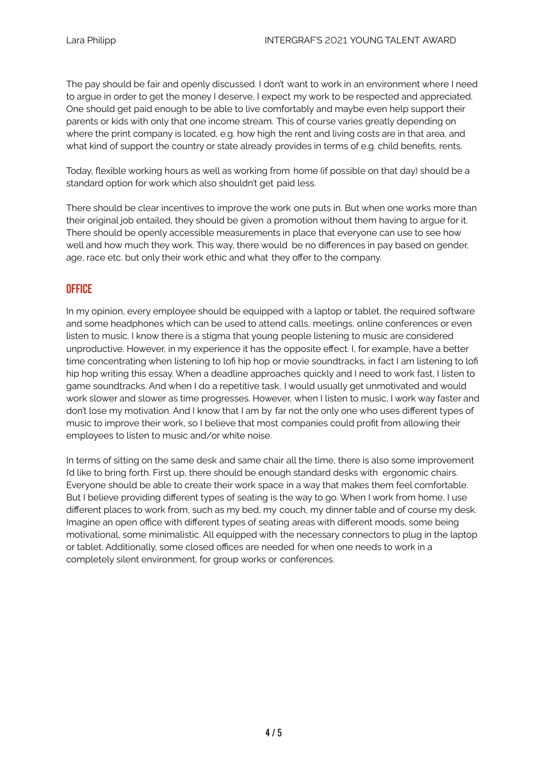The pay should be fair and openly discussed. I don't want to work in an environment where I need to argue in order to get the money I deserve, I expect my work to be respected and appreciated. One should get paid enough to be able to live comfortably and maybe even help support their parents or kids with only that one income stream. This of course varies greatly depending on where the print company is located, e.g. how high the rent and living costs are in that area, and what kind of support the country or state already provides in terms of e.g. child benefits, rents.

Today, flexible working hours as well as working from home (if possible on that day) should be a standard option for work which also shouldn't get paid less.

There should be clear incentives to improve the work one puts in. But when one works more than their original job entailed, they should be given a promotion without them having to argue for it. There should be openly accessible measurements in place that everyone can use to see how well and how much they work. This way, there would be no differences in pay based on gender, age, race etc. but only their work ethic and what they offer to the company.

## **OFFICE**

In my opinion, every employee should be equipped with a laptop or tablet, the required software and some headphones which can be used to attend calls, meetings, online conferences or even listen to music. I know there is a stigma that young people listening to music are considered unproductive. However, in my experience it has the opposite effect. I, for example, have a better time concentrating when listening to lofi hip hop or movie soundtracks, in fact I am listening to lofi hip hop writing this essay. When a deadline approaches quickly and I need to work fast, I listen to game soundtracks. And when I do a repetitive task, I would usually get unmotivated and would work slower and slower as time progresses. However, when I listen to music, I work way faster and don't lose my motivation. And I know that I am by far not the only one who uses different types of music to improve their work, so I believe that most companies could profit from allowing their employees to listen to music and/or white noise.

In terms of sitting on the same desk and same chair all the time, there is also some improvement I'd like to bring forth. First up, there should be enough standard desks with ergonomic chairs. Everyone should be able to create their work space in a way that makes them feel comfortable. But I believe providing different types of seating is the way to go. When I work from home, I use different places to work from, such as my bed, my couch, my dinner table and of course my desk. Imagine an open office with different types of seating areas with different moods, some being motivational, some minimalistic. All equipped with the necessary connectors to plug in the laptop or tablet. Additionally, some closed offices are needed for when one needs to work in a completely silent environment, for group works or conferences.